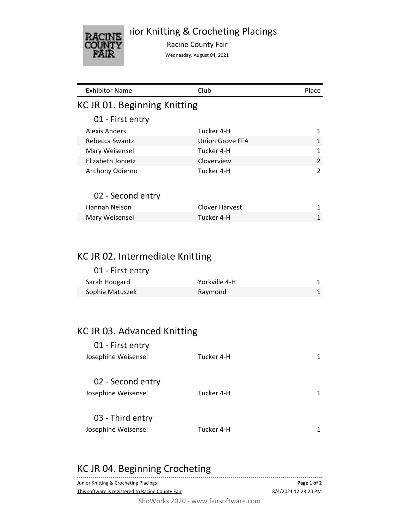## iior Knitting & Crocheting Placings



Racine County Fair

Wednesday, August 04, 2021

| <b>Exhibitor Name</b>           | Club                   | Place          |
|---------------------------------|------------------------|----------------|
| KC JR 01. Beginning Knitting    |                        |                |
| 01 - First entry                |                        |                |
| Alexis Anders                   | Tucker 4-H             | $\mathbf{1}$   |
| Rebecca Swantz                  | <b>Union Grove FFA</b> | 1              |
| Mary Weisensel                  | Tucker 4-H             | 1              |
| Elizabeth Jonietz               | Cloverview             | 2              |
| Anthony Odierno                 | Tucker 4-H             | $\overline{2}$ |
| 02 - Second entry               |                        |                |
| Hannah Nelson                   | Clover Harvest         | 1              |
| Mary Weisensel                  | Tucker 4-H             | $\mathbf{1}$   |
|                                 |                        |                |
| KC JR 02. Intermediate Knitting |                        |                |
| 01 - First entry                |                        |                |
| Sarah Hougard                   | Yorkville 4-H          | 1              |

| Sarah Hougard   | Yorkville 4-H |  |
|-----------------|---------------|--|
| Sophia Matuszek | Raymond       |  |

# KC JR 03. Advanced Knitting

| 01 - First entry    |            |  |
|---------------------|------------|--|
| Josephine Weisensel | Tucker 4-H |  |
|                     |            |  |
| 02 - Second entry   |            |  |
| Josephine Weisensel | Tucker 4-H |  |
|                     |            |  |
| 03 - Third entry    |            |  |
| Josephine Weisensel | Tucker 4-H |  |
|                     |            |  |

## KC JR 04. Beginning Crocheting

| Junior Knitting & Crocheting Placings             | Page 1 of 2          |
|---------------------------------------------------|----------------------|
| This software is registered to Racine County Fair | 8/4/2021 12:28:20 PM |
|                                                   |                      |

ShoWorks 2020 - www.fairsoftware.com